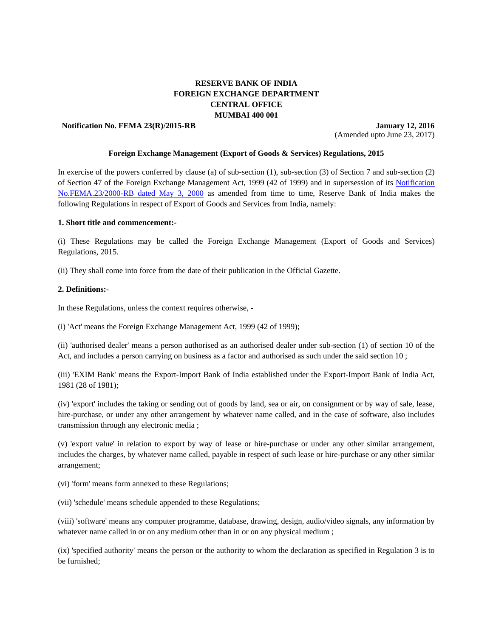# **RESERVE BANK OF INDIA FOREIGN EXCHANGE DEPARTMENT CENTRAL OFFICE MUMBAI 400 001**

**Notification No. FEMA 23(R)/2015-RB** January 12, 2016

(Amended upto June 23, 2017)

#### **Foreign Exchange Management (Export of Goods & Services) Regulations, 2015**

In exercise of the powers conferred by clause (a) of sub-section (1), sub-section (3) of Section 7 and sub-section (2) of Section 47 of the Foreign Exchange Management Act, 1999 (42 of 1999) and in supersession of its [Notification](https://www.rbi.org.in/Scripts/BS_FemaNotifications.aspx?Id=177)  [No.FEMA.23/2000-RB dated May 3, 2000](https://www.rbi.org.in/Scripts/BS_FemaNotifications.aspx?Id=177) as amended from time to time, Reserve Bank of India makes the following Regulations in respect of Export of Goods and Services from India, namely:

#### **1. Short title and commencement:-**

(i) These Regulations may be called the Foreign Exchange Management (Export of Goods and Services) Regulations, 2015.

(ii) They shall come into force from the date of their publication in the Official Gazette.

#### **2. Definitions:**-

In these Regulations, unless the context requires otherwise, -

(i) 'Act' means the Foreign Exchange Management Act, 1999 (42 of 1999);

(ii) 'authorised dealer' means a person authorised as an authorised dealer under sub-section (1) of section 10 of the Act, and includes a person carrying on business as a factor and authorised as such under the said section 10 ;

(iii) 'EXIM Bank' means the Export-Import Bank of India established under the Export-Import Bank of India Act, 1981 (28 of 1981);

(iv) 'export' includes the taking or sending out of goods by land, sea or air, on consignment or by way of sale, lease, hire-purchase, or under any other arrangement by whatever name called, and in the case of software, also includes transmission through any electronic media ;

(v) 'export value' in relation to export by way of lease or hire-purchase or under any other similar arrangement, includes the charges, by whatever name called, payable in respect of such lease or hire-purchase or any other similar arrangement;

(vi) 'form' means form annexed to these Regulations;

(vii) 'schedule' means schedule appended to these Regulations;

(viii) 'software' means any computer programme, database, drawing, design, audio/video signals, any information by whatever name called in or on any medium other than in or on any physical medium;

(ix) 'specified authority' means the person or the authority to whom the declaration as specified in Regulation 3 is to be furnished;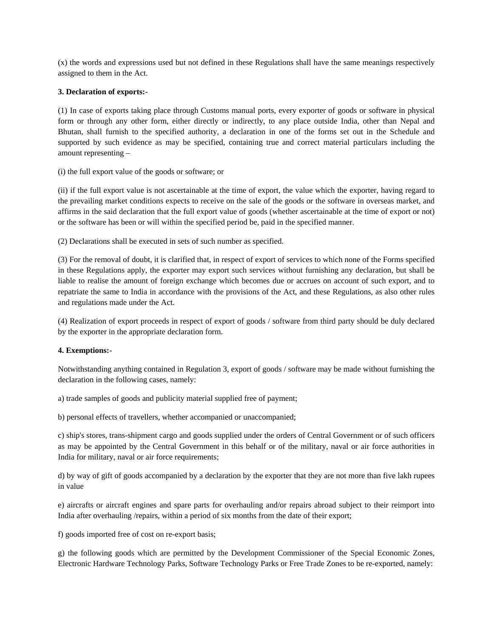(x) the words and expressions used but not defined in these Regulations shall have the same meanings respectively assigned to them in the Act.

# **3. Declaration of exports:-**

(1) In case of exports taking place through Customs manual ports, every exporter of goods or software in physical form or through any other form, either directly or indirectly, to any place outside India, other than Nepal and Bhutan, shall furnish to the specified authority, a declaration in one of the forms set out in the Schedule and supported by such evidence as may be specified, containing true and correct material particulars including the amount representing –

#### (i) the full export value of the goods or software; or

(ii) if the full export value is not ascertainable at the time of export, the value which the exporter, having regard to the prevailing market conditions expects to receive on the sale of the goods or the software in overseas market, and affirms in the said declaration that the full export value of goods (whether ascertainable at the time of export or not) or the software has been or will within the specified period be, paid in the specified manner.

(2) Declarations shall be executed in sets of such number as specified.

(3) For the removal of doubt, it is clarified that, in respect of export of services to which none of the Forms specified in these Regulations apply, the exporter may export such services without furnishing any declaration, but shall be liable to realise the amount of foreign exchange which becomes due or accrues on account of such export, and to repatriate the same to India in accordance with the provisions of the Act, and these Regulations, as also other rules and regulations made under the Act.

(4) Realization of export proceeds in respect of export of goods / software from third party should be duly declared by the exporter in the appropriate declaration form.

# **4. Exemptions:-**

Notwithstanding anything contained in Regulation 3, export of goods / software may be made without furnishing the declaration in the following cases, namely:

a) trade samples of goods and publicity material supplied free of payment;

b) personal effects of travellers, whether accompanied or unaccompanied;

c) ship's stores, trans-shipment cargo and goods supplied under the orders of Central Government or of such officers as may be appointed by the Central Government in this behalf or of the military, naval or air force authorities in India for military, naval or air force requirements;

d) by way of gift of goods accompanied by a declaration by the exporter that they are not more than five lakh rupees in value

e) aircrafts or aircraft engines and spare parts for overhauling and/or repairs abroad subject to their reimport into India after overhauling /repairs, within a period of six months from the date of their export;

f) goods imported free of cost on re-export basis;

g) the following goods which are permitted by the Development Commissioner of the Special Economic Zones, Electronic Hardware Technology Parks, Software Technology Parks or Free Trade Zones to be re-exported, namely: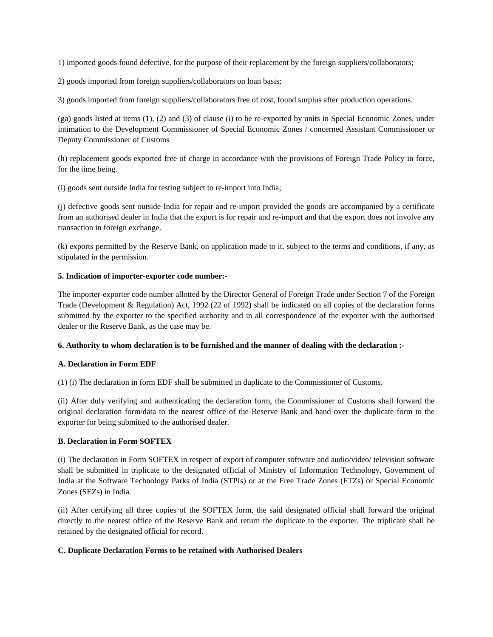1) imported goods found defective, for the purpose of their replacement by the foreign suppliers/collaborators;

2) goods imported from foreign suppliers/collaborators on loan basis;

3) goods imported from foreign suppliers/collaborators free of cost, found surplus after production operations.

(ga) goods listed at items (1), (2) and (3) of clause (i) to be re-exported by units in Special Economic Zones, under intimation to the Development Commissioner of Special Economic Zones / concerned Assistant Commissioner or Deputy Commissioner of Customs

(h) replacement goods exported free of charge in accordance with the provisions of Foreign Trade Policy in force, for the time being.

(i) goods sent outside India for testing subject to re-import into India;

(j) defective goods sent outside India for repair and re-import provided the goods are accompanied by a certificate from an authorised dealer in India that the export is for repair and re-import and that the export does not involve any transaction in foreign exchange.

(k) exports permitted by the Reserve Bank, on application made to it, subject to the terms and conditions, if any, as stipulated in the permission.

# **5. Indication of importer-exporter code number:-**

The importer-exporter code number allotted by the Director General of Foreign Trade under Section 7 of the Foreign Trade (Development & Regulation) Act, 1992 (22 of 1992) shall be indicated on all copies of the declaration forms submitted by the exporter to the specified authority and in all correspondence of the exporter with the authorised dealer or the Reserve Bank, as the case may be.

# **6. Authority to whom declaration is to be furnished and the manner of dealing with the declaration :-**

# **A. Declaration in Form EDF**

(1) (i) The declaration in form EDF shall be submitted in duplicate to the Commissioner of Customs.

(ii) After duly verifying and authenticating the declaration form, the Commissioner of Customs shall forward the original declaration form/data to the nearest office of the Reserve Bank and hand over the duplicate form to the exporter for being submitted to the authorised dealer.

# **B. Declaration in Form SOFTEX**

(i) The declaration in Form SOFTEX in respect of export of computer software and audio/video/ television software shall be submitted in triplicate to the designated official of Ministry of Information Technology, Government of India at the Software Technology Parks of India (STPIs) or at the Free Trade Zones (FTZs) or Special Economic Zones (SEZs) in India.

(ii) After certifying all three copies of the SOFTEX form, the said designated official shall forward the original directly to the nearest office of the Reserve Bank and return the duplicate to the exporter. The triplicate shall be retained by the designated official for record.

# **C. Duplicate Declaration Forms to be retained with Authorised Dealers**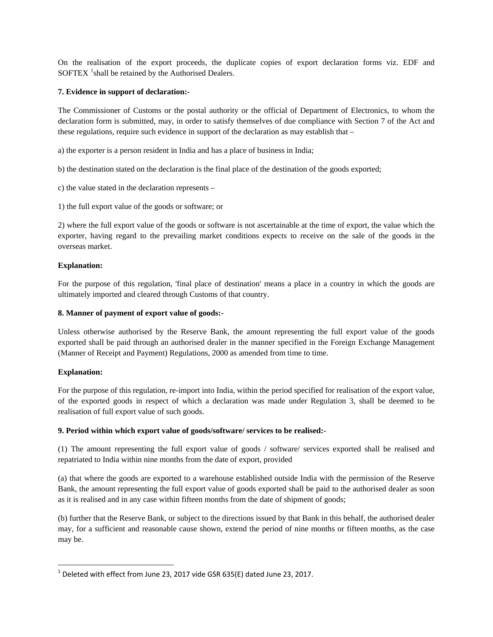On the realisation of the export proceeds, the duplicate copies of export declaration forms viz. EDF and SOFTEX  $^1$  $^1$ shall be retained by the Authorised Dealers.

#### **7. Evidence in support of declaration:-**

The Commissioner of Customs or the postal authority or the official of Department of Electronics, to whom the declaration form is submitted, may, in order to satisfy themselves of due compliance with Section 7 of the Act and these regulations, require such evidence in support of the declaration as may establish that –

a) the exporter is a person resident in India and has a place of business in India;

b) the destination stated on the declaration is the final place of the destination of the goods exported;

- c) the value stated in the declaration represents –
- 1) the full export value of the goods or software; or

2) where the full export value of the goods or software is not ascertainable at the time of export, the value which the exporter, having regard to the prevailing market conditions expects to receive on the sale of the goods in the overseas market.

#### **Explanation:**

For the purpose of this regulation, 'final place of destination' means a place in a country in which the goods are ultimately imported and cleared through Customs of that country.

#### **8. Manner of payment of export value of goods:-**

Unless otherwise authorised by the Reserve Bank, the amount representing the full export value of the goods exported shall be paid through an authorised dealer in the manner specified in the Foreign Exchange Management (Manner of Receipt and Payment) Regulations, 2000 as amended from time to time.

# **Explanation:**

For the purpose of this regulation, re-import into India, within the period specified for realisation of the export value, of the exported goods in respect of which a declaration was made under Regulation 3, shall be deemed to be realisation of full export value of such goods.

# **9. Period within which export value of goods/software/ services to be realised:-**

(1) The amount representing the full export value of goods / software/ services exported shall be realised and repatriated to India within nine months from the date of export, provided

(a) that where the goods are exported to a warehouse established outside India with the permission of the Reserve Bank, the amount representing the full export value of goods exported shall be paid to the authorised dealer as soon as it is realised and in any case within fifteen months from the date of shipment of goods;

(b) further that the Reserve Bank, or subject to the directions issued by that Bank in this behalf, the authorised dealer may, for a sufficient and reasonable cause shown, extend the period of nine months or fifteen months, as the case may be.

<span id="page-3-0"></span> $1$  Deleted with effect from June 23, 2017 vide GSR 635(E) dated June 23, 2017.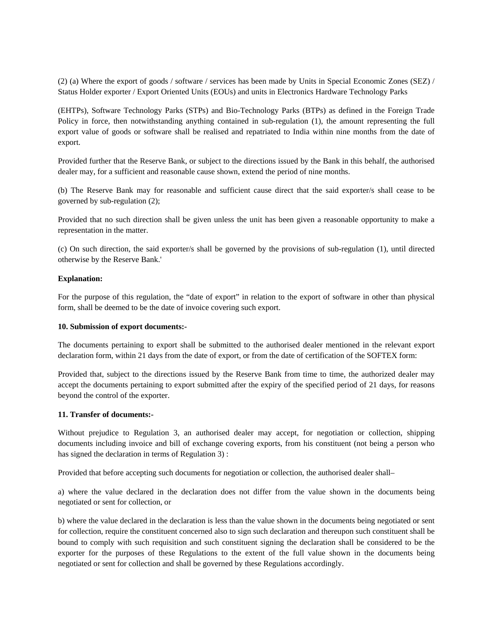(2) (a) Where the export of goods / software / services has been made by Units in Special Economic Zones (SEZ) / Status Holder exporter / Export Oriented Units (EOUs) and units in Electronics Hardware Technology Parks

(EHTPs), Software Technology Parks (STPs) and Bio-Technology Parks (BTPs) as defined in the Foreign Trade Policy in force, then notwithstanding anything contained in sub-regulation (1), the amount representing the full export value of goods or software shall be realised and repatriated to India within nine months from the date of export.

Provided further that the Reserve Bank, or subject to the directions issued by the Bank in this behalf, the authorised dealer may, for a sufficient and reasonable cause shown, extend the period of nine months.

(b) The Reserve Bank may for reasonable and sufficient cause direct that the said exporter/s shall cease to be governed by sub-regulation (2);

Provided that no such direction shall be given unless the unit has been given a reasonable opportunity to make a representation in the matter.

(c) On such direction, the said exporter/s shall be governed by the provisions of sub-regulation (1), until directed otherwise by the Reserve Bank.'

#### **Explanation:**

For the purpose of this regulation, the "date of export" in relation to the export of software in other than physical form, shall be deemed to be the date of invoice covering such export.

#### **10. Submission of export documents:-**

The documents pertaining to export shall be submitted to the authorised dealer mentioned in the relevant export declaration form, within 21 days from the date of export, or from the date of certification of the SOFTEX form:

Provided that, subject to the directions issued by the Reserve Bank from time to time, the authorized dealer may accept the documents pertaining to export submitted after the expiry of the specified period of 21 days, for reasons beyond the control of the exporter.

#### **11. Transfer of documents:-**

Without prejudice to Regulation 3, an authorised dealer may accept, for negotiation or collection, shipping documents including invoice and bill of exchange covering exports, from his constituent (not being a person who has signed the declaration in terms of Regulation 3) :

Provided that before accepting such documents for negotiation or collection, the authorised dealer shall–

a) where the value declared in the declaration does not differ from the value shown in the documents being negotiated or sent for collection, or

b) where the value declared in the declaration is less than the value shown in the documents being negotiated or sent for collection, require the constituent concerned also to sign such declaration and thereupon such constituent shall be bound to comply with such requisition and such constituent signing the declaration shall be considered to be the exporter for the purposes of these Regulations to the extent of the full value shown in the documents being negotiated or sent for collection and shall be governed by these Regulations accordingly.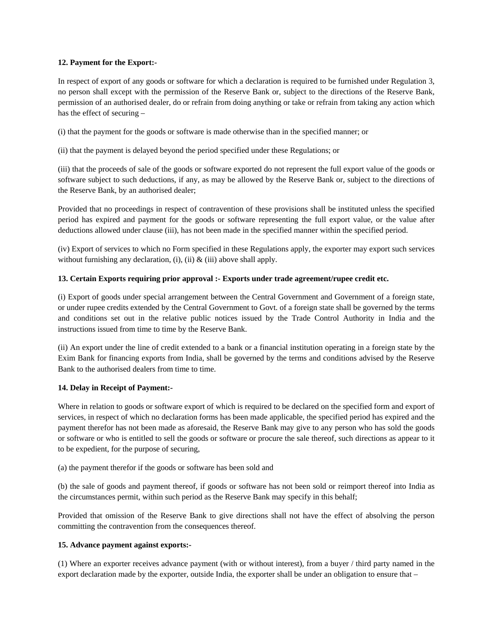# **12. Payment for the Export:-**

In respect of export of any goods or software for which a declaration is required to be furnished under Regulation 3, no person shall except with the permission of the Reserve Bank or, subject to the directions of the Reserve Bank, permission of an authorised dealer, do or refrain from doing anything or take or refrain from taking any action which has the effect of securing –

(i) that the payment for the goods or software is made otherwise than in the specified manner; or

(ii) that the payment is delayed beyond the period specified under these Regulations; or

(iii) that the proceeds of sale of the goods or software exported do not represent the full export value of the goods or software subject to such deductions, if any, as may be allowed by the Reserve Bank or, subject to the directions of the Reserve Bank, by an authorised dealer;

Provided that no proceedings in respect of contravention of these provisions shall be instituted unless the specified period has expired and payment for the goods or software representing the full export value, or the value after deductions allowed under clause (iii), has not been made in the specified manner within the specified period.

(iv) Export of services to which no Form specified in these Regulations apply, the exporter may export such services without furnishing any declaration, (i), (ii)  $\&$  (iii) above shall apply.

# **13. Certain Exports requiring prior approval :- Exports under trade agreement/rupee credit etc.**

(i) Export of goods under special arrangement between the Central Government and Government of a foreign state, or under rupee credits extended by the Central Government to Govt. of a foreign state shall be governed by the terms and conditions set out in the relative public notices issued by the Trade Control Authority in India and the instructions issued from time to time by the Reserve Bank.

(ii) An export under the line of credit extended to a bank or a financial institution operating in a foreign state by the Exim Bank for financing exports from India, shall be governed by the terms and conditions advised by the Reserve Bank to the authorised dealers from time to time.

# **14. Delay in Receipt of Payment:-**

Where in relation to goods or software export of which is required to be declared on the specified form and export of services, in respect of which no declaration forms has been made applicable, the specified period has expired and the payment therefor has not been made as aforesaid, the Reserve Bank may give to any person who has sold the goods or software or who is entitled to sell the goods or software or procure the sale thereof, such directions as appear to it to be expedient, for the purpose of securing,

(a) the payment therefor if the goods or software has been sold and

(b) the sale of goods and payment thereof, if goods or software has not been sold or reimport thereof into India as the circumstances permit, within such period as the Reserve Bank may specify in this behalf;

Provided that omission of the Reserve Bank to give directions shall not have the effect of absolving the person committing the contravention from the consequences thereof.

# **15. Advance payment against exports:-**

(1) Where an exporter receives advance payment (with or without interest), from a buyer / third party named in the export declaration made by the exporter, outside India, the exporter shall be under an obligation to ensure that –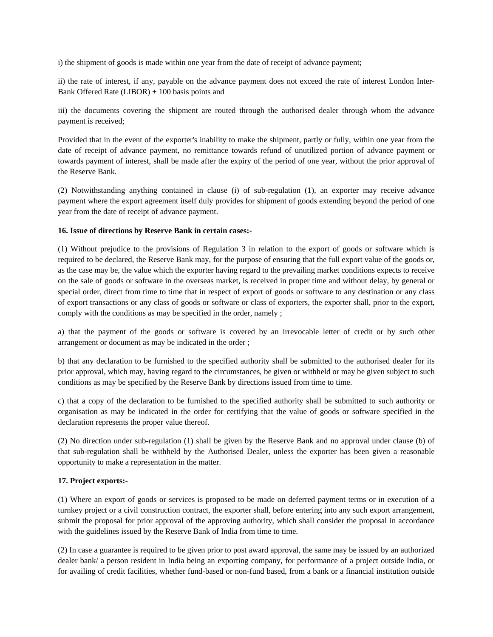i) the shipment of goods is made within one year from the date of receipt of advance payment;

ii) the rate of interest, if any, payable on the advance payment does not exceed the rate of interest London Inter-Bank Offered Rate (LIBOR) + 100 basis points and

iii) the documents covering the shipment are routed through the authorised dealer through whom the advance payment is received;

Provided that in the event of the exporter's inability to make the shipment, partly or fully, within one year from the date of receipt of advance payment, no remittance towards refund of unutilized portion of advance payment or towards payment of interest, shall be made after the expiry of the period of one year, without the prior approval of the Reserve Bank.

(2) Notwithstanding anything contained in clause (i) of sub-regulation (1), an exporter may receive advance payment where the export agreement itself duly provides for shipment of goods extending beyond the period of one year from the date of receipt of advance payment.

#### **16. Issue of directions by Reserve Bank in certain cases:-**

(1) Without prejudice to the provisions of Regulation 3 in relation to the export of goods or software which is required to be declared, the Reserve Bank may, for the purpose of ensuring that the full export value of the goods or, as the case may be, the value which the exporter having regard to the prevailing market conditions expects to receive on the sale of goods or software in the overseas market, is received in proper time and without delay, by general or special order, direct from time to time that in respect of export of goods or software to any destination or any class of export transactions or any class of goods or software or class of exporters, the exporter shall, prior to the export, comply with the conditions as may be specified in the order, namely ;

a) that the payment of the goods or software is covered by an irrevocable letter of credit or by such other arrangement or document as may be indicated in the order ;

b) that any declaration to be furnished to the specified authority shall be submitted to the authorised dealer for its prior approval, which may, having regard to the circumstances, be given or withheld or may be given subject to such conditions as may be specified by the Reserve Bank by directions issued from time to time.

c) that a copy of the declaration to be furnished to the specified authority shall be submitted to such authority or organisation as may be indicated in the order for certifying that the value of goods or software specified in the declaration represents the proper value thereof.

(2) No direction under sub-regulation (1) shall be given by the Reserve Bank and no approval under clause (b) of that sub-regulation shall be withheld by the Authorised Dealer, unless the exporter has been given a reasonable opportunity to make a representation in the matter.

# **17. Project exports:-**

(1) Where an export of goods or services is proposed to be made on deferred payment terms or in execution of a turnkey project or a civil construction contract, the exporter shall, before entering into any such export arrangement, submit the proposal for prior approval of the approving authority, which shall consider the proposal in accordance with the guidelines issued by the Reserve Bank of India from time to time.

(2) In case a guarantee is required to be given prior to post award approval, the same may be issued by an authorized dealer bank/ a person resident in India being an exporting company, for performance of a project outside India, or for availing of credit facilities, whether fund-based or non-fund based, from a bank or a financial institution outside